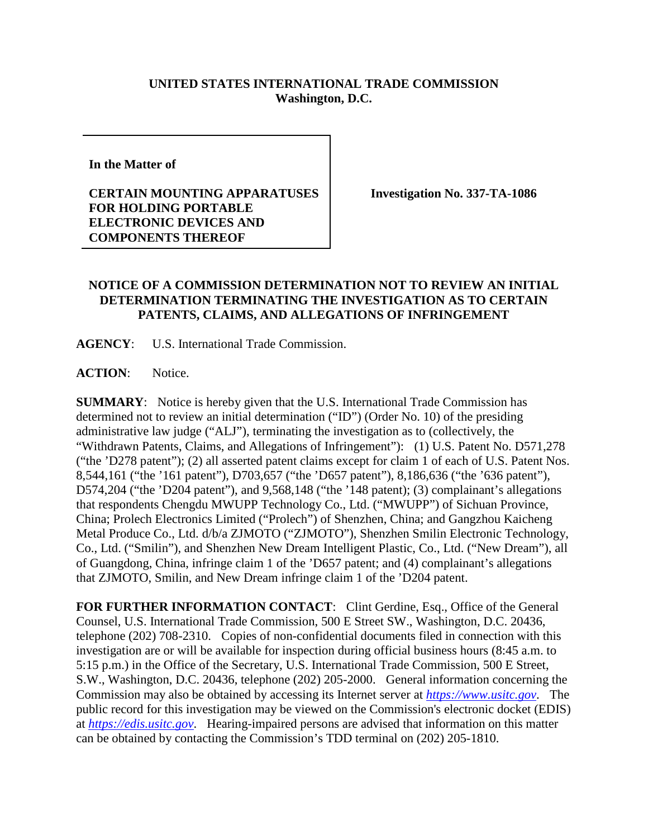## **UNITED STATES INTERNATIONAL TRADE COMMISSION Washington, D.C.**

**In the Matter of** 

**CERTAIN MOUNTING APPARATUSES FOR HOLDING PORTABLE ELECTRONIC DEVICES AND COMPONENTS THEREOF**

**Investigation No. 337-TA-1086**

## **NOTICE OF A COMMISSION DETERMINATION NOT TO REVIEW AN INITIAL DETERMINATION TERMINATING THE INVESTIGATION AS TO CERTAIN PATENTS, CLAIMS, AND ALLEGATIONS OF INFRINGEMENT**

**AGENCY**: U.S. International Trade Commission.

ACTION: Notice.

**SUMMARY**: Notice is hereby given that the U.S. International Trade Commission has determined not to review an initial determination ("ID") (Order No. 10) of the presiding administrative law judge ("ALJ"), terminating the investigation as to (collectively, the "Withdrawn Patents, Claims, and Allegations of Infringement"): (1) U.S. Patent No. D571,278 ("the 'D278 patent"); (2) all asserted patent claims except for claim 1 of each of U.S. Patent Nos. 8,544,161 ("the '161 patent"), D703,657 ("the 'D657 patent"), 8,186,636 ("the '636 patent"), D574,204 ("the 'D204 patent"), and 9,568,148 ("the '148 patent); (3) complainant's allegations that respondents Chengdu MWUPP Technology Co., Ltd. ("MWUPP") of Sichuan Province, China; Prolech Electronics Limited ("Prolech") of Shenzhen, China; and Gangzhou Kaicheng Metal Produce Co., Ltd. d/b/a ZJMOTO ("ZJMOTO"), Shenzhen Smilin Electronic Technology, Co., Ltd. ("Smilin"), and Shenzhen New Dream Intelligent Plastic, Co., Ltd. ("New Dream"), all of Guangdong, China, infringe claim 1 of the 'D657 patent; and (4) complainant's allegations that ZJMOTO, Smilin, and New Dream infringe claim 1 of the 'D204 patent.

**FOR FURTHER INFORMATION CONTACT**: Clint Gerdine, Esq., Office of the General Counsel, U.S. International Trade Commission, 500 E Street SW., Washington, D.C. 20436, telephone (202) 708-2310. Copies of non-confidential documents filed in connection with this investigation are or will be available for inspection during official business hours (8:45 a.m. to 5:15 p.m.) in the Office of the Secretary, U.S. International Trade Commission, 500 E Street, S.W., Washington, D.C. 20436, telephone (202) 205-2000. General information concerning the Commission may also be obtained by accessing its Internet server at *[https://www.usitc.gov](https://www.usitc.gov/)*. The public record for this investigation may be viewed on the Commission's electronic docket (EDIS) at *[https://edis.usitc.gov](https://edis.usitc.gov/)*. Hearing-impaired persons are advised that information on this matter can be obtained by contacting the Commission's TDD terminal on (202) 205-1810.